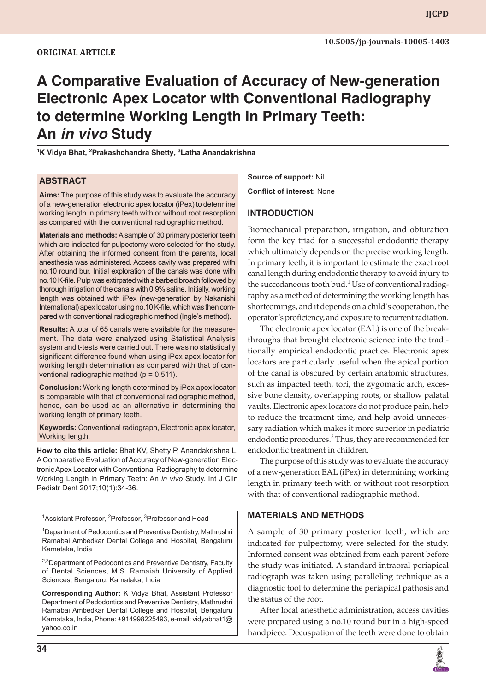# **A Comparative Evaluation of Accuracy of New-generation Electronic Apex Locator with Conventional Radiography to determine Working Length in Primary Teeth: An** *in vivo* **Study**

**1 K Vidya Bhat, 2 Prakashchandra Shetty, <sup>3</sup> Latha Anandakrishna**

## **ABSTRACT**

**Aims:** The purpose of this study was to evaluate the accuracy of a new-generation electronic apex locator (iPex) to determine working length in primary teeth with or without root resorption as compared with the conventional radiographic method.

**Materials and methods:** A sample of 30 primary posterior teeth which are indicated for pulpectomy were selected for the study. After obtaining the informed consent from the parents, local anesthesia was administered. Access cavity was prepared with no.10 round bur. Initial exploration of the canals was done with no.10 K-file. Pulp was extirpated with a barbed broach followed by thorough irrigation of the canals with 0.9% saline. Initially, working length was obtained with iPex (new-generation by Nakanishi International) apex locator using no.10 K-file, which was then compared with conventional radiographic method (Ingle's method).

**Results:** A total of 65 canals were available for the measurement. The data were analyzed using Statistical Analysis system and t-tests were carried out. There was no statistically significant difference found when using iPex apex locator for working length determination as compared with that of conventional radiographic method ( $p = 0.511$ ).

**Conclusion:** Working length determined by iPex apex locator is comparable with that of conventional radiographic method, hence, can be used as an alternative in determining the working length of primary teeth.

**Keywords:** Conventional radiograph, Electronic apex locator, Working length.

**How to cite this article:** Bhat KV, Shetty P, Anandakrishna L. A Comparative Evaluation of Accuracy of New-generation Electronic Apex Locator with Conventional Radiography to determine Working Length in Primary Teeth: An *in vivo* Study. Int J Clin Pediatr Dent 2017;10(1):34-36.

<sup>1</sup>Assistant Professor, <sup>2</sup>Professor, <sup>3</sup>Professor and Head

<sup>1</sup>Department of Pedodontics and Preventive Dentistry, Mathrushri Ramabai Ambedkar Dental College and Hospital, Bengaluru Karnataka, India

<sup>2,3</sup>Department of Pedodontics and Preventive Dentistry, Faculty of Dental Sciences, M.S. Ramaiah University of Applied Sciences, Bengaluru, Karnataka, India

**Corresponding Author:** K Vidya Bhat, Assistant Professor Department of Pedodontics and Preventive Dentistry, Mathrushri Ramabai Ambedkar Dental College and Hospital, Bengaluru Karnataka, India, Phone: +914998225493, e-mail: vidyabhat1@ yahoo.co.in

**Source of support:** Nil **Conflict of interest:** None

#### **INTRODUCTION**

Biomechanical preparation, irrigation, and obturation form the key triad for a successful endodontic therapy which ultimately depends on the precise working length. In primary teeth, it is important to estimate the exact root canal length during endodontic therapy to avoid injury to the succedaneous tooth bud.<sup>1</sup> Use of conventional radiography as a method of determining the working length has shortcomings, and it depends on a child's cooperation, the operator's proficiency, and exposure to recurrent radiation.

The electronic apex locator (EAL) is one of the breakthroughs that brought electronic science into the traditionally empirical endodontic practice. Electronic apex locators are particularly useful when the apical portion of the canal is obscured by certain anatomic structures, such as impacted teeth, tori, the zygomatic arch, excessive bone density, overlapping roots, or shallow palatal vaults. Electronic apex locators do not produce pain, help to reduce the treatment time, and help avoid unnecessary radiation which makes it more superior in pediatric endodontic procedures.<sup>2</sup> Thus, they are recommended for endodontic treatment in children.

The purpose of this study was to evaluate the accuracy of a new-generation EAL (iPex) in determining working length in primary teeth with or without root resorption with that of conventional radiographic method.

#### **MATERIALS AND METHODS**

A sample of 30 primary posterior teeth, which are indicated for pulpectomy, were selected for the study. Informed consent was obtained from each parent before the study was initiated. A standard intraoral periapical radiograph was taken using paralleling technique as a diagnostic tool to determine the periapical pathosis and the status of the root.

After local anesthetic administration, access cavities were prepared using a no.10 round bur in a high-speed handpiece. Decuspation of the teeth were done to obtain

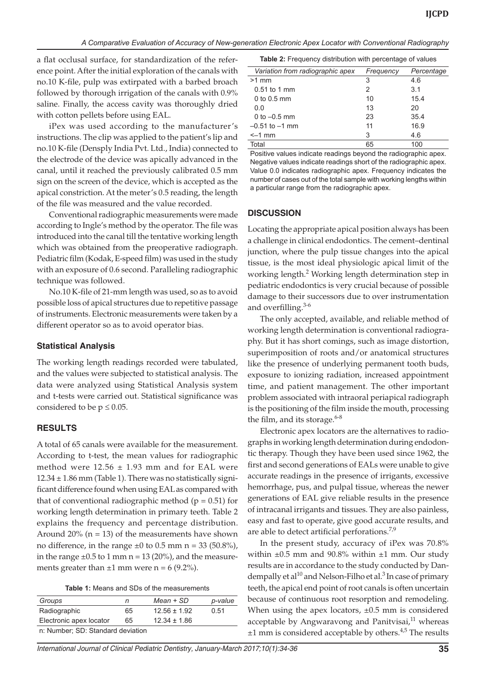a flat occlusal surface, for standardization of the reference point. After the initial exploration of the canals with no.10 K-file, pulp was extirpated with a barbed broach followed by thorough irrigation of the canals with 0.9% saline. Finally, the access cavity was thoroughly dried with cotton pellets before using EAL.

iPex was used according to the manufacturer's instructions. The clip was applied to the patient's lip and no.10 K-file (Densply India Pvt. Ltd., India) connected to the electrode of the device was apically advanced in the canal, until it reached the previously calibrated 0.5 mm sign on the screen of the device, which is accepted as the apical constriction. At the meter's 0.5 reading, the length of the file was measured and the value recorded.

Conventional radiographic measurements were made according to Ingle's method by the operator. The file was introduced into the canal till the tentative working length which was obtained from the preoperative radiograph. Pediatric film (Kodak, E-speed film) was used in the study with an exposure of 0.6 second. Paralleling radiographic technique was followed.

No.10 K-file of 21-mm length was used, so as to avoid possible loss of apical structures due to repetitive passage of instruments. Electronic measurements were taken by a different operator so as to avoid operator bias.

#### **Statistical Analysis**

The working length readings recorded were tabulated, and the values were subjected to statistical analysis. The data were analyzed using Statistical Analysis system and t-tests were carried out. Statistical significance was considered to be  $p \leq 0.05$ .

#### **RESULTS**

A total of 65 canals were available for the measurement. According to t-test, the mean values for radiographic method were  $12.56 \pm 1.93$  mm and for EAL were  $12.34 \pm 1.86$  mm (Table 1). There was no statistically significant difference found when using EAL as compared with that of conventional radiographic method  $(p = 0.51)$  for working length determination in primary teeth. Table 2 explains the frequency and percentage distribution. Around  $20\%$  (n = 13) of the measurements have shown no difference, in the range  $\pm 0$  to 0.5 mm n = 33 (50.8%), in the range  $\pm 0.5$  to 1 mm n = 13 (20%), and the measurements greater than  $\pm 1$  mm were n = 6 (9.2%).

| <b>Table 1:</b> Means and SDs of the measurements |
|---------------------------------------------------|
|---------------------------------------------------|

| Groups                            | n  | Mean + SD        | p-value |
|-----------------------------------|----|------------------|---------|
| Radiographic                      | 65 | $12.56 \pm 1.92$ | 0.51    |
| Electronic apex locator           | 65 | $12.34 \pm 1.86$ |         |
| n. Number: SD: Standard deviation |    |                  |         |

| ex Iocator | $12.34 + 1.86$ | accopiable by Apougnation |  |
|------------|----------------|---------------------------|--|
|            |                |                           |  |

n: Number; SD: Standard deviation

| Variation from radiographic apex | Frequency | Percentage |
|----------------------------------|-----------|------------|
| $>1$ mm                          | 3         | 4.6        |
| $0.51$ to 1 mm                   | 2         | 3.1        |
| 0 to 0.5 $mm$                    | 10        | 15.4       |
| 0.0                              | 13        | 20         |
| 0 to $-0.5$ mm                   | 23        | 35.4       |
| $-0.51$ to $-1$ mm               | 11        | 16.9       |
| $\leq -1$ mm                     | 3         | 4.6        |
| Total                            | 65        | 100        |

Positive values indicate readings beyond the radiographic apex. Negative values indicate readings short of the radiographic apex. Value 0.0 indicates radiographic apex. Frequency indicates the number of cases out of the total sample with working lengths within a particular range from the radiographic apex.

#### **DISCUSSION**

Locating the appropriate apical position always has been a challenge in clinical endodontics. The cement–dentinal junction, where the pulp tissue changes into the apical tissue, is the most ideal physiologic apical limit of the working length.<sup>2</sup> Working length determination step in pediatric endodontics is very crucial because of possible damage to their successors due to over instrumentation and overfilling.<sup>3-6</sup>

The only accepted, available, and reliable method of working length determination is conventional radiography. But it has short comings, such as image distortion, superimposition of roots and/or anatomical structures like the presence of underlying permanent tooth buds, exposure to ionizing radiation, increased appointment time, and patient management. The other important problem associated with intraoral periapical radiograph is the positioning of the film inside the mouth, processing the film, and its storage.  $6-8$ 

Electronic apex locators are the alternatives to radiographs in working length determination during endodontic therapy. Though they have been used since 1962, the first and second generations of EALs were unable to give accurate readings in the presence of irrigants, excessive hemorrhage, pus, and pulpal tissue, whereas the newer generations of EAL give reliable results in the presence of intracanal irrigants and tissues. They are also painless, easy and fast to operate, give good accurate results, and are able to detect artificial perforations.<sup>7,9</sup>

In the present study, accuracy of iPex was 70.8% within  $\pm 0.5$  mm and 90.8% within  $\pm 1$  mm. Our study results are in accordance to the study conducted by Dandempally et al $^{10}$  and Nelson-Filho et al.<sup>3</sup> In case of primary teeth, the apical end point of root canals is often uncertain because of continuous root resorption and remodeling. When using the apex locators,  $\pm 0.5$  mm is considered acceptable by Angwaravong and Panitvisai, $11$  whereas  $\pm 1$  mm is considered acceptable by others.<sup>4,5</sup> The results